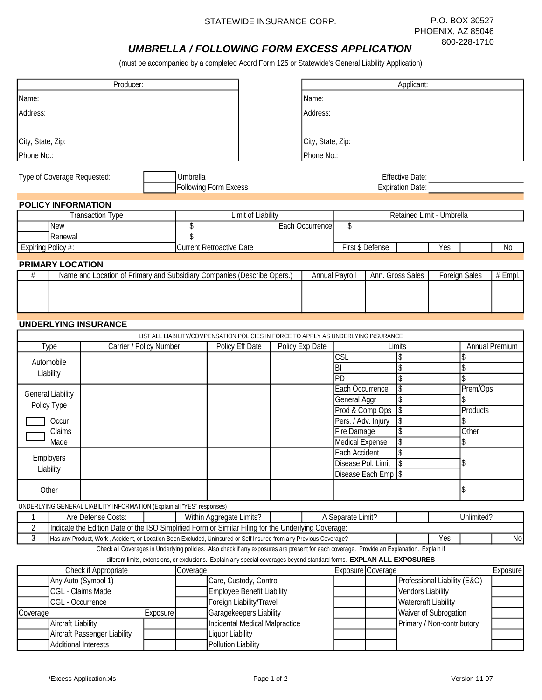## *UMBRELLA / FOLLOWING FORM EXCESS APPLICATION*

(must be accompanied by a completed Acord Form 125 or Statewide's General Liability Application)

|                                                                                 |                                        | Producer:                                                                                                         |  |                                 |                          |                    |                                                                   |                        |                                        | Applicant:                                                                                                                                |                           |                           |                |  |
|---------------------------------------------------------------------------------|----------------------------------------|-------------------------------------------------------------------------------------------------------------------|--|---------------------------------|--------------------------|--------------------|-------------------------------------------------------------------|------------------------|----------------------------------------|-------------------------------------------------------------------------------------------------------------------------------------------|---------------------------|---------------------------|----------------|--|
| Name:                                                                           |                                        |                                                                                                                   |  |                                 |                          |                    |                                                                   | Name:                  |                                        |                                                                                                                                           |                           |                           |                |  |
| Address:                                                                        |                                        |                                                                                                                   |  |                                 |                          | <b>Address:</b>    |                                                                   |                        |                                        |                                                                                                                                           |                           |                           |                |  |
|                                                                                 |                                        |                                                                                                                   |  |                                 |                          |                    |                                                                   |                        |                                        |                                                                                                                                           |                           |                           |                |  |
| City, State, Zip:                                                               |                                        |                                                                                                                   |  |                                 | City, State, Zip:        |                    |                                                                   |                        |                                        |                                                                                                                                           |                           |                           |                |  |
| <b>Phone No.:</b>                                                               |                                        |                                                                                                                   |  |                                 |                          |                    | <b>Phone No.:</b>                                                 |                        |                                        |                                                                                                                                           |                           |                           |                |  |
|                                                                                 |                                        |                                                                                                                   |  |                                 |                          |                    |                                                                   |                        |                                        |                                                                                                                                           |                           |                           |                |  |
| <b>Type of Coverage Requested:</b><br>Umbrella                                  |                                        |                                                                                                                   |  | <b>Effective Date:</b>          |                          |                    |                                                                   |                        |                                        |                                                                                                                                           |                           |                           |                |  |
|                                                                                 |                                        |                                                                                                                   |  | <b>Following Form Excess</b>    |                          |                    |                                                                   |                        |                                        | <b>Expiration Date:</b>                                                                                                                   |                           |                           |                |  |
|                                                                                 | <b>POLICY INFORMATION</b>              |                                                                                                                   |  |                                 |                          |                    |                                                                   |                        |                                        |                                                                                                                                           |                           |                           |                |  |
|                                                                                 |                                        | <b>Transaction Type</b>                                                                                           |  |                                 |                          | Limit of Liability |                                                                   |                        |                                        |                                                                                                                                           | Retained Limit - Umbrella |                           |                |  |
|                                                                                 | New                                    |                                                                                                                   |  | \$                              |                          |                    |                                                                   | <b>Each Occurrence</b> | \$                                     |                                                                                                                                           |                           |                           |                |  |
|                                                                                 | Renewal                                |                                                                                                                   |  | <sup>S</sup>                    |                          |                    |                                                                   |                        |                                        |                                                                                                                                           |                           |                           |                |  |
| <b>Expiring Policy #:</b>                                                       |                                        |                                                                                                                   |  | <b>Current Retroactive Date</b> |                          |                    |                                                                   |                        |                                        | <b>First \$ Defense</b>                                                                                                                   | Yes                       |                           | N <sub>0</sub> |  |
|                                                                                 | <b>PRIMARY LOCATION</b>                |                                                                                                                   |  |                                 |                          |                    |                                                                   |                        |                                        |                                                                                                                                           |                           |                           |                |  |
| Name and Location of Primary and Subsidiary Companies (Describe Opers.)<br>$\#$ |                                        |                                                                                                                   |  |                                 |                          |                    | <b>Annual Payroll</b><br>Ann. Gross Sales<br><b>Foreign Sales</b> |                        |                                        |                                                                                                                                           |                           | $\overline{\text#}$ Empl. |                |  |
|                                                                                 |                                        |                                                                                                                   |  |                                 |                          |                    |                                                                   |                        |                                        |                                                                                                                                           |                           |                           |                |  |
|                                                                                 |                                        |                                                                                                                   |  |                                 |                          |                    |                                                                   |                        |                                        |                                                                                                                                           |                           |                           |                |  |
|                                                                                 |                                        |                                                                                                                   |  |                                 |                          |                    |                                                                   |                        |                                        |                                                                                                                                           |                           |                           |                |  |
|                                                                                 |                                        | <b>UNDERLYING INSURANCE</b>                                                                                       |  |                                 |                          |                    |                                                                   |                        |                                        |                                                                                                                                           |                           |                           |                |  |
|                                                                                 |                                        |                                                                                                                   |  |                                 |                          |                    |                                                                   |                        |                                        | LIST ALL LIABILITY/COMPENSATION POLICIES IN FORCE TO APPLY AS UNDERLYING INSURANCE                                                        |                           |                           |                |  |
|                                                                                 | Carrier / Policy Number<br><b>Type</b> |                                                                                                                   |  |                                 | <b>Policy Eff Date</b>   |                    | Policy Exp Date<br>Limits                                         |                        |                                        |                                                                                                                                           | <b>Annual Premium</b>     |                           |                |  |
| Automobile                                                                      |                                        |                                                                                                                   |  |                                 |                          |                    |                                                                   |                        |                                        |                                                                                                                                           |                           |                           |                |  |
|                                                                                 |                                        |                                                                                                                   |  |                                 |                          |                    |                                                                   |                        | <b>CSL</b>                             | \$                                                                                                                                        |                           | \$                        |                |  |
|                                                                                 |                                        |                                                                                                                   |  |                                 |                          |                    |                                                                   |                        | $\overline{BI}$                        | \$                                                                                                                                        |                           | \$                        |                |  |
|                                                                                 | Liability                              |                                                                                                                   |  |                                 |                          |                    |                                                                   |                        | $\overline{PD}$                        | \$                                                                                                                                        |                           | \$.                       |                |  |
|                                                                                 | <b>General Liability</b>               |                                                                                                                   |  |                                 |                          |                    |                                                                   |                        | <b>Each Occurrence</b>                 | <b>S</b>                                                                                                                                  |                           | Prem/Ops                  |                |  |
|                                                                                 | Policy Type                            |                                                                                                                   |  |                                 |                          |                    |                                                                   |                        | <b>General Aggr</b>                    | <b>S</b>                                                                                                                                  |                           | Products                  |                |  |
|                                                                                 | Occur                                  |                                                                                                                   |  |                                 |                          |                    |                                                                   |                        | Prod & Comp Ops<br>Pers. / Adv. Injury | $\overline{s}$<br>ls                                                                                                                      |                           |                           |                |  |
|                                                                                 | Claims                                 |                                                                                                                   |  |                                 |                          |                    |                                                                   |                        | <b>Fire Damage</b>                     | <b>S</b>                                                                                                                                  |                           | Other                     |                |  |
|                                                                                 | Made                                   |                                                                                                                   |  |                                 |                          |                    |                                                                   |                        | <b>Medical Expense</b>                 | <b>S</b>                                                                                                                                  |                           | \$                        |                |  |
|                                                                                 |                                        |                                                                                                                   |  |                                 |                          |                    |                                                                   |                        | <b>Each Accident</b>                   | \$                                                                                                                                        |                           |                           |                |  |
|                                                                                 | <b>Employers</b><br>Liability          |                                                                                                                   |  |                                 |                          |                    |                                                                   |                        | Disease Pol. Limit                     | <sub>S</sub>                                                                                                                              | \$                        |                           |                |  |
|                                                                                 |                                        |                                                                                                                   |  |                                 |                          |                    |                                                                   |                        |                                        | Disease Each Emp S                                                                                                                        |                           |                           |                |  |
|                                                                                 | Other                                  |                                                                                                                   |  |                                 |                          |                    |                                                                   |                        |                                        |                                                                                                                                           | \$                        |                           |                |  |
|                                                                                 |                                        | UNDERLYING GENERAL LIABILITY INFORMATION (Explain all "YES" responses)                                            |  |                                 |                          |                    |                                                                   |                        |                                        |                                                                                                                                           |                           |                           |                |  |
| $\mathbf{1}$                                                                    |                                        | Are Defense Costs:                                                                                                |  |                                 | Within Aggregate Limits? |                    |                                                                   |                        | A Separate Limit?                      |                                                                                                                                           |                           | Unlimited?                |                |  |
| $\sqrt{2}$                                                                      |                                        | Indicate the Edition Date of the ISO Simplified Form or Similar Filing for the Underlying Coverage:               |  |                                 |                          |                    |                                                                   |                        |                                        |                                                                                                                                           |                           |                           |                |  |
| $\overline{3}$                                                                  |                                        | Has any Product, Work, Accident, or Location Been Excluded, Uninsured or Self Insured from any Previous Coverage? |  |                                 |                          |                    |                                                                   |                        |                                        | Check all Coverages in Underlying policies. Also check if any exposures are present for each coverage. Provide an Explanation. Explain if | Yes                       |                           | No             |  |

diferent limits, extensions, or exclusions. Explain any special coverages beyond standard forms. **EXPLAN ALL EXPOSURES**

|          | <b>Check if Appropriate</b>         |           | Coverage |                                       | <b>Exposure Coverage</b> |                              | <b>Exposure</b> |
|----------|-------------------------------------|-----------|----------|---------------------------------------|--------------------------|------------------------------|-----------------|
|          | Any Auto (Symbol 1)                 |           |          | Care, Custody, Control                |                          | Professional Liability (E&O) |                 |
|          | CGL - Claims Made                   |           |          | <b>Employee Benefit Liability</b>     |                          | <b>Vendors Liability</b>     |                 |
|          | <b>CGL</b> - Occurrence             |           |          | <b>Foreign Liability/Travel</b>       |                          | <b>Watercraft Liability</b>  |                 |
| Coverage |                                     | Exposurel |          | <b>Garagekeepers Liability</b>        |                          | <b>Waiver of Subrogation</b> |                 |
|          | <b>Aircraft Liability</b>           |           |          | <b>Incidental Medical Malpractice</b> |                          | Primary / Non-contributory   |                 |
|          | <b>Aircraft Passenger Liability</b> |           |          | <b>Liquor Liability</b>               |                          |                              |                 |
|          | <b>Additional Interests</b>         |           |          | <b>Pollution Liability</b>            |                          |                              |                 |